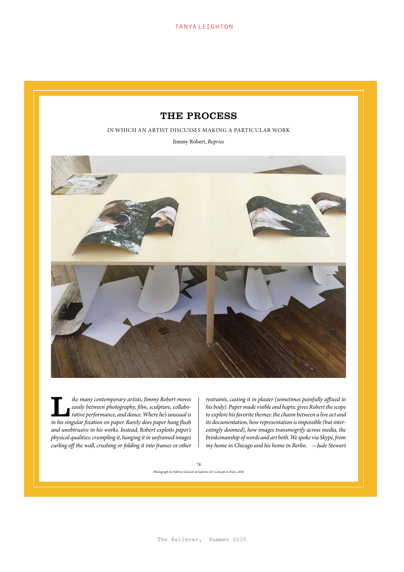**TANYA LEIGHTON** 

## THE PROCESS

IN WHICH AN ARTIST DISCUSSES MAKING A PARTICULAR WORK

Jimmy Robert, *Reprise*



*ike many contemporary artists, Jimmy Robert moves*<br> *rative performance, and dance. Where he's unusual is***<br>** *in his singular fixation on paper Parely does paper houa flush easily between photography, film, sculpture, collaboin his singular fixation on paper. Rarely does paper hang flush and unobtrusive in his works. Instead, Robert exploits paper's physical qualities: crumpling it, hanging it in unframed images curling off the wall, crushing or folding it into frames or other* 

*restraints, casting it in plaster (sometimes painfully affixed to his body). Paper made visible and haptic gives Robert the scope to explore his favorite themes: the chasm between a live act and its documentation, how representation is impossible (but interestingly doomed), how images transmogrify across media, the brinksmanship of words and art both. We spoke via Skype, from my home in Chicago and his home in Berlin. —Jude Stewart*

78

*Photograph by Fabrice Gousset at Galeria Art: Concept in Paris, 2010*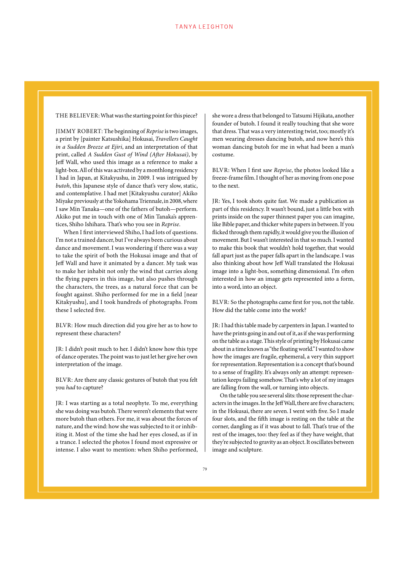THE BELIEVER: What was the starting point for this piece?

JIMMY ROBERT: The beginning of *Reprise* is two images, a print by [painter Katsushika] Hokusai, *Travellers Caught in a Sudden Breeze at Ejiri*, and an interpretation of that print, called *A Sudden Gust of Wind (After Hokusai)*, by Jeff Wall, who used this image as a reference to make a light-box. All of this was activated by a monthlong residency I had in Japan, at Kitakyushu, in 2009. I was intrigued by *butoh*, this Japanese style of dance that's very slow, static, and contemplative. I had met [Kitakyushu curator] Akiko Miyake previously at the Yokohama Triennale, in 2008, where I saw Min Tanaka—one of the fathers of butoh—perform. Akiko put me in touch with one of Min Tanaka's apprentices, Shiho Ishihara. That's who you see in *Reprise*.

When I first interviewed Shiho, I had lots of questions. I'm not a trained dancer, but I've always been curious about dance and movement. I was wondering if there was a way to take the spirit of both the Hokusai image and that of Jeff Wall and have it animated by a dancer. My task was to make her inhabit not only the wind that carries along the flying papers in this image, but also pushes through the characters, the trees, as a natural force that can be fought against. Shiho performed for me in a field [near Kitakyushu], and I took hundreds of photographs. From these I selected five.

BLVR: How much direction did you give her as to how to represent these characters?

JR: I didn't posit much to her. I didn't know how this type of dance operates. The point was to just let her give her own interpretation of the image.

BLVR: Are there any classic gestures of butoh that you felt you *had* to capture?

JR: I was starting as a total neophyte. To me, everything she was doing was butoh. There weren't elements that were more butoh than others. For me, it was about the forces of nature, and the wind: how she was subjected to it or inhibiting it. Most of the time she had her eyes closed, as if in a trance. I selected the photos I found most expressive or intense. I also want to mention: when Shiho performed,

she wore a dress that belonged to Tatsumi Hijikata, another founder of butoh. I found it really touching that she wore that dress. That was a very interesting twist, too; mostly it's men wearing dresses dancing butoh, and now here's this woman dancing butoh for me in what had been a man's costume.

BLVR: When I first saw *Reprise*, the photos looked like a freeze-frame film. I thought of her as moving from one pose to the next.

JR: Yes, I took shots quite fast. We made a publication as part of this residency. It wasn't bound, just a little box with prints inside on the super thinnest paper you can imagine, like Bible paper, and thicker white papers in between. If you flicked through them rapidly, it would give you the illusion of movement. But I wasn't interested in that so much. I wanted to make this book that wouldn't hold together, that would fall apart just as the paper falls apart in the landscape. I was also thinking about how Jeff Wall translated the Hokusai image into a light-box, something dimensional. I'm often interested in how an image gets represented into a form, into a word, into an object.

BLVR: So the photographs came first for you, not the table. How did the table come into the work?

JR: I had this table made by carpenters in Japan. I wanted to have the prints going in and out of it, as if she was performing on the table as a stage. This style of printing by Hokusai came about in a time known as "the floating world." I wanted to show how the images are fragile, ephemeral, a very thin support for representation. Representation is a concept that's bound to a sense of fragility. It's always only an attempt: representation keeps failing somehow. That's why a lot of my images are falling from the wall, or turning into objects.

On the table you see several slits: those represent the characters in the images. In the Jeff Wall, there are five characters; in the Hokusai, there are seven. I went with five. So I made four slots, and the fifth image is resting on the table at the corner, dangling as if it was about to fall. That's true of the rest of the images, too: they feel as if they have weight, that they're subjected to gravity as an object. It oscillates between image and sculpture.